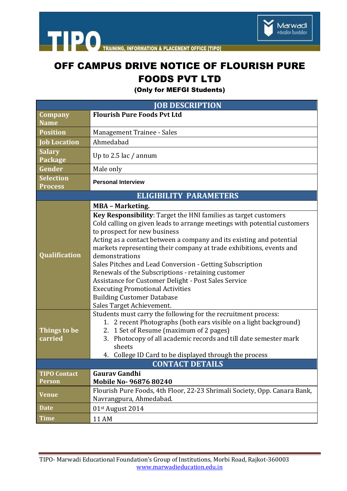

THE PO TRAINING, INFORMATION & PLACEMENT OFFICE [TIPO]

## OFF CAMPUS DRIVE NOTICE OF FLOURISH PURE FOODS PVT LTD

(Only for MEFGI Students)

| <b>JOB DESCRIPTION</b>             |                                                                                                                                                                                                                                                                                                                                                                                                                                                                                                                                                                                                                                     |
|------------------------------------|-------------------------------------------------------------------------------------------------------------------------------------------------------------------------------------------------------------------------------------------------------------------------------------------------------------------------------------------------------------------------------------------------------------------------------------------------------------------------------------------------------------------------------------------------------------------------------------------------------------------------------------|
| <b>Company</b>                     | <b>Flourish Pure Foods Pvt Ltd</b>                                                                                                                                                                                                                                                                                                                                                                                                                                                                                                                                                                                                  |
| <b>Name</b>                        |                                                                                                                                                                                                                                                                                                                                                                                                                                                                                                                                                                                                                                     |
| <b>Position</b>                    | Management Trainee - Sales                                                                                                                                                                                                                                                                                                                                                                                                                                                                                                                                                                                                          |
| <b>Job Location</b>                | Ahmedabad                                                                                                                                                                                                                                                                                                                                                                                                                                                                                                                                                                                                                           |
| <b>Salary</b><br><b>Package</b>    | Up to 2.5 lac / annum                                                                                                                                                                                                                                                                                                                                                                                                                                                                                                                                                                                                               |
| Gender                             | Male only                                                                                                                                                                                                                                                                                                                                                                                                                                                                                                                                                                                                                           |
| <b>Selection</b><br><b>Process</b> | <b>Personal Interview</b>                                                                                                                                                                                                                                                                                                                                                                                                                                                                                                                                                                                                           |
| <b>ELIGIBILITY PARAMETERS</b>      |                                                                                                                                                                                                                                                                                                                                                                                                                                                                                                                                                                                                                                     |
|                                    | <b>MBA - Marketing.</b>                                                                                                                                                                                                                                                                                                                                                                                                                                                                                                                                                                                                             |
| <b>Oualification</b>               | Key Responsibility: Target the HNI families as target customers<br>Cold calling on given leads to arrange meetings with potential customers<br>to prospect for new business<br>Acting as a contact between a company and its existing and potential<br>markets representing their company at trade exhibitions, events and<br>demonstrations<br>Sales Pitches and Lead Conversion - Getting Subscription<br>Renewals of the Subscriptions - retaining customer<br>Assistance for Customer Delight - Post Sales Service<br><b>Executing Promotional Activities</b><br><b>Building Customer Database</b><br>Sales Target Achievement. |
| Things to be<br>carried            | Students must carry the following for the recruitment process:<br>1. 2 recent Photographs (both ears visible on a light background)<br>2. 1 Set of Resume (maximum of 2 pages)<br>3. Photocopy of all academic records and till date semester mark<br>sheets<br>4. College ID Card to be displayed through the process                                                                                                                                                                                                                                                                                                              |
| <b>CONTACT DETAILS</b>             |                                                                                                                                                                                                                                                                                                                                                                                                                                                                                                                                                                                                                                     |
| <b>TIPO Contact</b>                | <b>Gaurav Gandhi</b>                                                                                                                                                                                                                                                                                                                                                                                                                                                                                                                                                                                                                |
| <b>Person</b>                      | Mobile No-96876 80240                                                                                                                                                                                                                                                                                                                                                                                                                                                                                                                                                                                                               |
| <b>Venue</b>                       | Flourish Pure Foods, 4th Floor, 22-23 Shrimali Society, Opp. Canara Bank,<br>Navrangpura, Ahmedabad.                                                                                                                                                                                                                                                                                                                                                                                                                                                                                                                                |
| <b>Date</b>                        | 01st August 2014                                                                                                                                                                                                                                                                                                                                                                                                                                                                                                                                                                                                                    |
| <b>Time</b>                        | 11 AM                                                                                                                                                                                                                                                                                                                                                                                                                                                                                                                                                                                                                               |